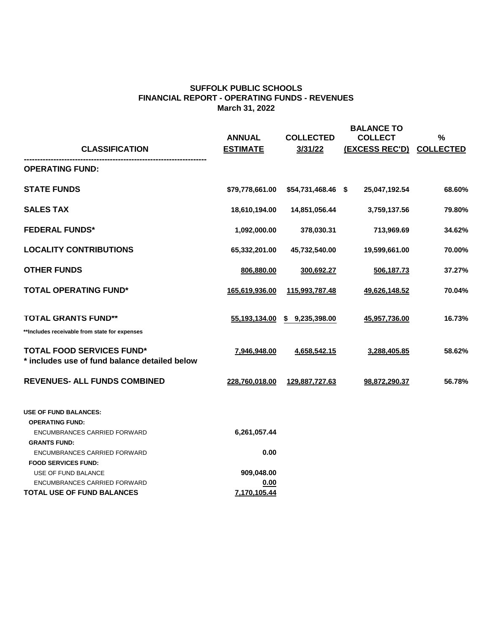| <b>CLASSIFICATION</b>                                                                                                | <b>ANNUAL</b><br><b>ESTIMATE</b> | <b>COLLECTED</b><br>3/31/22 | <b>BALANCE TO</b><br><b>COLLECT</b><br><b>(EXCESS REC'D)</b> | $\frac{0}{0}$<br><b>COLLECTED</b> |
|----------------------------------------------------------------------------------------------------------------------|----------------------------------|-----------------------------|--------------------------------------------------------------|-----------------------------------|
| <b>OPERATING FUND:</b>                                                                                               |                                  |                             |                                                              |                                   |
| <b>STATE FUNDS</b>                                                                                                   | \$79,778,661.00                  | $$54,731,468.46$ \$         | 25,047,192.54                                                | 68.60%                            |
| <b>SALES TAX</b>                                                                                                     | 18,610,194.00                    | 14,851,056.44               | 3,759,137.56                                                 | 79.80%                            |
| <b>FEDERAL FUNDS*</b>                                                                                                | 1,092,000.00                     | 378,030.31                  | 713,969.69                                                   | 34.62%                            |
| <b>LOCALITY CONTRIBUTIONS</b>                                                                                        | 65,332,201.00                    | 45,732,540.00               | 19,599,661.00                                                | 70.00%                            |
| <b>OTHER FUNDS</b>                                                                                                   | 806,880.00                       | 300,692.27                  | 506,187.73                                                   | 37.27%                            |
| <b>TOTAL OPERATING FUND*</b>                                                                                         | 165,619,936.00                   | 115,993,787.48              | 49,626,148.52                                                | 70.04%                            |
| <b>TOTAL GRANTS FUND**</b><br>**Includes receivable from state for expenses                                          | 55,193,134.00                    | 9,235,398.00<br>$\mathbf S$ | 45,957,736.00                                                | 16.73%                            |
| <b>TOTAL FOOD SERVICES FUND*</b><br>* includes use of fund balance detailed below                                    | 7,946,948.00                     | 4,658,542.15                | 3,288,405.85                                                 | 58.62%                            |
| <b>REVENUES- ALL FUNDS COMBINED</b>                                                                                  | 228,760,018.00                   | 129,887,727.63              | 98,872,290.37                                                | 56.78%                            |
| <b>USE OF FUND BALANCES:</b><br><b>OPERATING FUND:</b><br><b>ENCUMBRANCES CARRIED FORWARD</b><br><b>GRANTS FUND:</b> | 6,261,057.44                     |                             |                                                              |                                   |

ENCUMBRANCES CARRIED FORWARD **0.00**

## **FOOD SERVICES FUND:**

USE OF FUND BALANCE **909,048.00**

ENCUMBRANCES CARRIED FORWARD **0.00**

**TOTAL USE OF FUND BALANCES 7,170,105.44**

## **SUFFOLK PUBLIC SCHOOLS FINANCIAL REPORT - OPERATING FUNDS - REVENUES March 31, 2022**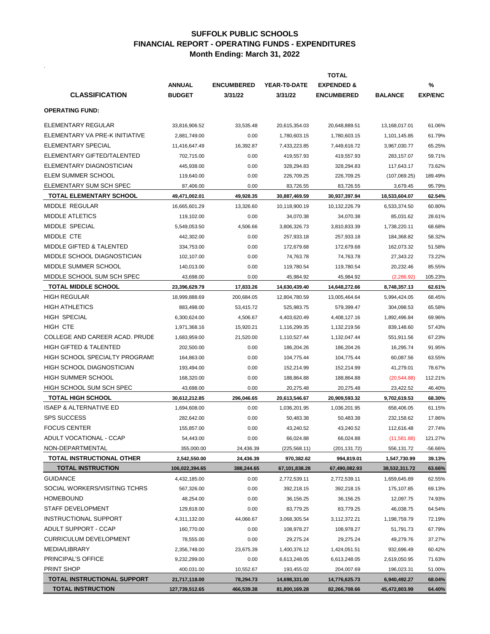.

|                                       | <b>TOTAL</b>   |                   |                     |                       |                |                |
|---------------------------------------|----------------|-------------------|---------------------|-----------------------|----------------|----------------|
|                                       | <b>ANNUAL</b>  | <b>ENCUMBERED</b> | <b>YEAR-T0-DATE</b> | <b>EXPENDED &amp;</b> |                | $\frac{0}{0}$  |
| <b>CLASSIFICATION</b>                 | <b>BUDGET</b>  | 3/31/22           | 3/31/22             | <b>ENCUMBERED</b>     | <b>BALANCE</b> | <b>EXP/ENC</b> |
| <b>OPERATING FUND:</b>                |                |                   |                     |                       |                |                |
| <b>ELEMENTARY REGULAR</b>             | 33,816,906.52  | 33,535.48         | 20,615,354.03       | 20,648,889.51         | 13,168,017.01  | 61.06%         |
| ELEMENTARY VA PRE-K INITIATIVE        | 2,881,749.00   | 0.00              | 1,780,603.15        | 1,780,603.15          | 1,101,145.85   | 61.79%         |
| <b>ELEMENTARY SPECIAL</b>             | 11,416,647.49  | 16,392.87         | 7,433,223.85        | 7,449,616.72          | 3,967,030.77   | 65.25%         |
| ELEMENTARY GIFTED/TALENTED            | 702,715.00     | 0.00              | 419,557.93          | 419,557.93            | 283,157.07     | 59.71%         |
| ELEMENTARY DIAGNOSTICIAN              | 445,938.00     | 0.00              | 328,294.83          | 328,294.83            | 117,643.17     | 73.62%         |
| <b>ELEM SUMMER SCHOOL</b>             | 119,640.00     | 0.00              | 226,709.25          | 226,709.25            | (107,069.25)   | 189.49%        |
| ELEMENTARY SUM SCH SPEC               | 87,406.00      | 0.00              | 83,726.55           | 83,726.55             | 3,679.45       | 95.79%         |
| <b>TOTAL ELEMENTARY SCHOOL</b>        | 49,471,002.01  | 49,928.35         | 30,887,469.59       | 30,937,397.94         | 18,533,604.07  | 62.54%         |
| <b>MIDDLE REGULAR</b>                 | 16,665,601.29  | 13,326.60         | 10,118,900.19       | 10,132,226.79         | 6,533,374.50   | 60.80%         |
| <b>MIDDLE ATLETICS</b>                | 119,102.00     | 0.00              | 34,070.38           | 34,070.38             | 85,031.62      | 28.61%         |
| <b>MIDDLE SPECIAL</b>                 | 5,549,053.50   | 4,506.66          | 3,806,326.73        | 3,810,833.39          | 1,738,220.11   | 68.68%         |
| <b>MIDDLE CTE</b>                     | 442,302.00     | 0.00              | 257,933.18          | 257,933.18            | 184,368.82     | 58.32%         |
| <b>MIDDLE GIFTED &amp; TALENTED</b>   | 334,753.00     | 0.00              | 172,679.68          | 172,679.68            | 162,073.32     | 51.58%         |
| MIDDLE SCHOOL DIAGNOSTICIAN           | 102,107.00     | 0.00              | 74,763.78           | 74,763.78             | 27,343.22      | 73.22%         |
| <b>MIDDLE SUMMER SCHOOL</b>           | 140,013.00     | 0.00              | 119,780.54          | 119,780.54            | 20,232.46      | 85.55%         |
| MIDDLE SCHOOL SUM SCH SPEC            | 43,698.00      | 0.00              | 45,984.92           | 45,984.92             | (2,286.92)     | 105.23%        |
| <b>TOTAL MIDDLE SCHOOL</b>            | 23,396,629.79  | 17,833.26         | 14,630,439.40       | 14,648,272.66         | 8,748,357.13   | 62.61%         |
| <b>HIGH REGULAR</b>                   | 18,999,888.69  | 200,684.05        | 12,804,780.59       | 13,005,464.64         | 5,994,424.05   | 68.45%         |
| <b>HIGH ATHLETICS</b>                 | 883,498.00     | 53,415.72         | 525,983.75          | 579,399.47            | 304,098.53     | 65.58%         |
| <b>HIGH SPECIAL</b>                   | 6,300,624.00   | 4,506.67          | 4,403,620.49        | 4,408,127.16          | 1,892,496.84   | 69.96%         |
| <b>HIGH CTE</b>                       | 1,971,368.16   | 15,920.21         | 1,116,299.35        | 1,132,219.56          | 839,148.60     | 57.43%         |
| <b>COLLEGE AND CAREER ACAD. PRUDE</b> | 1,683,959.00   | 21,520.00         | 1,110,527.44        | 1,132,047.44          | 551,911.56     | 67.23%         |
| <b>HIGH GIFTED &amp; TALENTED</b>     | 202,500.00     | 0.00              | 186,204.26          | 186,204.26            | 16,295.74      | 91.95%         |
| <b>HIGH SCHOOL SPECIALTY PROGRAMS</b> | 164,863.00     | 0.00              | 104,775.44          | 104,775.44            | 60,087.56      | 63.55%         |
| <b>HIGH SCHOOL DIAGNOSTICIAN</b>      | 193,494.00     | 0.00              | 152,214.99          | 152,214.99            | 41,279.01      | 78.67%         |
| <b>HIGH SUMMER SCHOOL</b>             | 168,320.00     | 0.00              | 188,864.88          | 188,864.88            | (20, 544.88)   | 112.21%        |
| HIGH SCHOOL SUM SCH SPEC              | 43,698.00      | 0.00              | 20,275.48           | 20,275.48             | 23,422.52      | 46.40%         |
| <b>TOTAL HIGH SCHOOL</b>              | 30,612,212.85  | 296,046.65        | 20,613,546.67       | 20,909,593.32         | 9,702,619.53   | 68.30%         |
| <b>ISAEP &amp; ALTERNATIVE ED</b>     | 1,694,608.00   | 0.00              | 1,036,201.95        | 1,036,201.95          | 658,406.05     | 61.15%         |
| <b>SPS SUCCESS</b>                    | 282,642.00     | 0.00              | 50,483.38           | 50,483.38             | 232,158.62     | 17.86%         |
| <b>FOCUS CENTER</b>                   | 155,857.00     | 0.00              | 43,240.52           | 43,240.52             | 112,616.48     | 27.74%         |
| ADULT VOCATIONAL - CCAP               | 54,443.00      | 0.00              | 66,024.88           | 66,024.88             | (11,581.88)    | 121.27%        |
| NON-DEPARTMENTAL                      | 355,000.00     | 24,436.39         | (225, 568.11)       | (201, 131.72)         | 556,131.72     | -56.66%        |
| TOTAL INSTRUCTIONAL OTHER             | 2,542,550.00   | 24,436.39         | 970,382.62          | 994,819.01            | 1,547,730.99   | 39.13%         |
| <b>TOTAL INSTRUCTION</b>              | 106,022,394.65 | 388,244.65        | 67,101,838.28       | 67,490,082.93         | 38,532,311.72  | 63.66%         |
| <b>GUIDANCE</b>                       | 4,432,185.00   | 0.00              | 2,772,539.11        | 2,772,539.11          | 1,659,645.89   | 62.55%         |
| SOCIAL WORKERS/VISITING TCHRS         | 567,326.00     | 0.00              | 392,218.15          | 392,218.15            | 175,107.85     | 69.13%         |
| <b>HOMEBOUND</b>                      | 48,254.00      | 0.00              | 36,156.25           | 36,156.25             | 12,097.75      | 74.93%         |
| <b>STAFF DEVELOPMENT</b>              | 129,818.00     | 0.00              | 83,779.25           | 83,779.25             | 46,038.75      | 64.54%         |
| <b>INSTRUCTIONAL SUPPORT</b>          | 4,311,132.00   | 44,066.67         | 3,068,305.54        | 3,112,372.21          | 1,198,759.79   | 72.19%         |
| <b>ADULT SUPPORT - CCAP</b>           | 160,770.00     | 0.00              | 108,978.27          | 108,978.27            | 51,791.73      | 67.79%         |
| <b>CURRICULUM DEVELOPMENT</b>         | 78,555.00      | 0.00              | 29,275.24           | 29,275.24             | 49,279.76      | 37.27%         |
| <b>MEDIA/LIBRARY</b>                  | 2,356,748.00   | 23,675.39         | 1,400,376.12        | 1,424,051.51          | 932,696.49     | 60.42%         |
| <b>PRINCIPAL'S OFFICE</b>             | 9,232,299.00   | 0.00              | 6,613,248.05        | 6,613,248.05          | 2,619,050.95   | 71.63%         |
| <b>PRINT SHOP</b>                     | 400,031.00     | 10,552.67         | 193,455.02          | 204,007.69            | 196,023.31     | 51.00%         |
| TOTAL INSTRUCTIONAL SUPPORT           | 21,717,118.00  | 78,294.73         | 14,698,331.00       | 14,776,625.73         | 6,940,492.27   | 68.04%         |
| <b>TOTAL INSTRUCTION</b>              | 127,739,512.65 | 466,539.38        | 81,800,169.28       | 82,266,708.66         | 45,472,803.99  | 64.40%         |

## **SUFFOLK PUBLIC SCHOOLS FINANCIAL REPORT - OPERATING FUNDS - EXPENDITURES Month Ending: March 31, 2022**